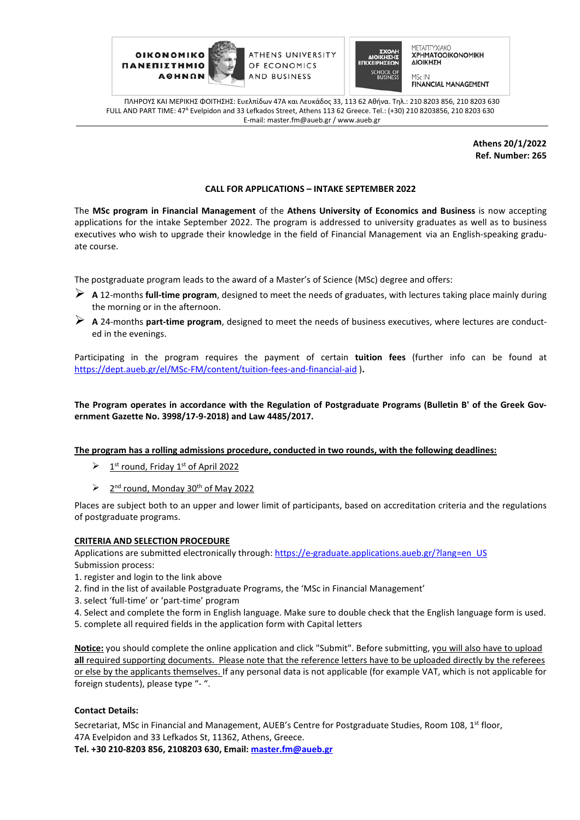

ATHENS UNIVERSITY OF ECONOMICS AND BUSINESS



ΜΕΤΑΠΤΥΧΙΑΚΟ **XPHMATOOIKONOMIKH** ΔΙΟΙΚΗΣΗ

**FINANCIAL MANAGEMENT** 

ΠΛΗΡΟΥΣ ΚΑΙ ΜΕΡΙΚΗΣ ΦΟΙΤΗΣΗΣ: Ευελπίδων 47A και Λευκάδος 33, 113 62 Αθήνα. Tηλ.: 210 8203 856, 210 8203 630 FULL AND PART TIME: 47Α Evelpidon and 33 Lefkados Street, Athens 113 62 Greece. Tel.: (+30) 210 8203856, 210 8203 630 E-mail: master.fm@aueb.gr / www.aueb.gr

> **Athens 20/1/2022 Ref. Number: 265**

### **CALL FOR APPLICATIONS – INTAKE SEPTEMBER 2022**

The **MSc program in Financial Management** of the **Athens University of Economics and Business** is now accepting applications for the intake September 2022. The program is addressed to university graduates as well as to business executives who wish to upgrade their knowledge in the field of Financial Management via an English-speaking graduate course.

The postgraduate program leads to the award of a Master's of Science (MSc) degree and offers:

- **A** 12-months **full-time program**, designed to meet the needs of graduates, with lectures taking place mainly during the morning or in the afternoon.
- **A** 24-months **part-time program**, designed to meet the needs of business executives, where lectures are conducted in the evenings.

Participating in the program requires the payment of certain **tuition fees** (further info can be found at [https://dept.aueb.gr/e](https://dept.aueb.gr/el/MSc-FM/content/tuition-fees-and-financial-aid)l/MSc-FM/content/tuition-fees-and-financial-aid )**.** 

**The Program operates in accordance with the Regulation of Postgraduate Programs (Bulletin B' of the Greek Government Gazette No. 3998/17-9-2018) and Law 4485/2017.**

**The program has a rolling admissions procedure, conducted in two rounds, with the following deadlines:**

- $\geq 1$ <sup>st</sup> round, Friday 1<sup>st</sup> of April 2022
- $\geq$  2<sup>nd</sup> round, Monday 30<sup>th</sup> of May 2022

Places are subject both to an upper and lower limit of participants, based on accreditation criteria and the regulations of postgraduate programs.

#### **CRITERIA AND SELECTION PROCEDURE**

Applications are submitted electronically through: https://e-graduate.applications.aueb.gr/?lang=en\_US Submission process:

- 1. register and login to the link above
- 2. find in the list of available Postgraduate Programs, the 'MSc in Financial Management'
- 3. select 'full-time' or 'part-time' program
- 4. Select and complete the form in English language. Make sure to double check that the English language form is used.
- 5. complete all required fields in the application form with Capital letters

**Notice:** you should complete the online application and click "Submit". Before submitting, you will also have to upload **all** required supporting documents. Please note that the reference letters have to be uploaded directly by the referees or else by the applicants themselves. If any personal data is not applicable (for example VAT, which is not applicable for foreign students), please type "- ".

### **Contact Details:**

Secretariat, MSc in Financial and Management, AUEB's Centre for Postgraduate Studies, Room 108, 1<sup>st</sup> floor, 47A Evelpidon and 33 Lefkados St, 11362, Athens, Greece. **Tel. +30 210-8203 856, 2108203 630, Email: [master.fm@aueb.gr](mailto:master.fm@aueb.gr)**